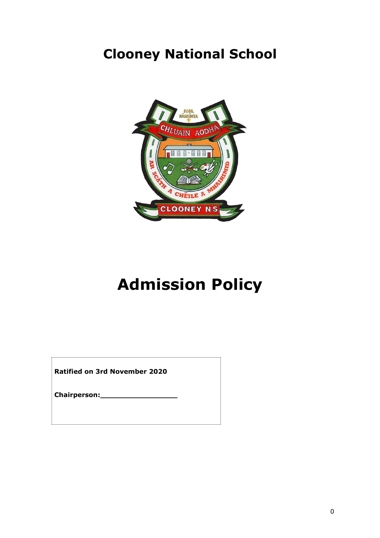# **Clooney National School**



# **Admission Policy**

**Ratified on 3rd November 2020**

**Chairperson:\_\_\_\_\_\_\_\_\_\_\_\_\_\_\_\_\_**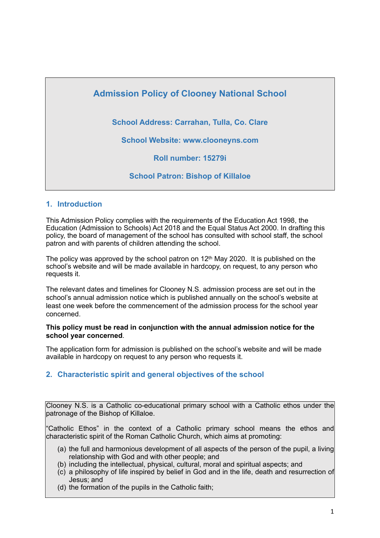

#### **1. Introduction**

This Admission Policy complies with the requirements of the Education Act 1998, the Education (Admission to Schools) Act 2018 and the Equal Status Act 2000. In drafting this policy, the board of management of the school has consulted with school staff, the school patron and with parents of children attending the school.

The policy was approved by the school patron on  $12<sup>th</sup>$  May 2020. It is published on the school's website and will be made available in hardcopy, on request, to any person who requests it.

The relevant dates and timelines for Clooney N.S. admission process are set out in the school's annual admission notice which is published annually on the school's website at least one week before the commencement of the admission process for the school year concerned.

#### **This policy must be read in conjunction with the annual admission notice for the school year concerned**.

The application form for admission is published on the school's website and will be made available in hardcopy on request to any person who requests it.

#### **2. Characteristic spirit and general objectives of the school**

Clooney N.S. is a Catholic co-educational primary school with a Catholic ethos under the patronage of the Bishop of Killaloe.

"Catholic Ethos" in the context of a Catholic primary school means the ethos and characteristic spirit of the Roman Catholic Church, which aims at promoting:

- (a) the full and harmonious development of all aspects of the person of the pupil, a living relationship with God and with other people; and
- (b) including the intellectual, physical, cultural, moral and spiritual aspects; and
- (c) a philosophy of life inspired by belief in God and in the life, death and resurrection of Jesus; and
- (d) the formation of the pupils in the Catholic faith;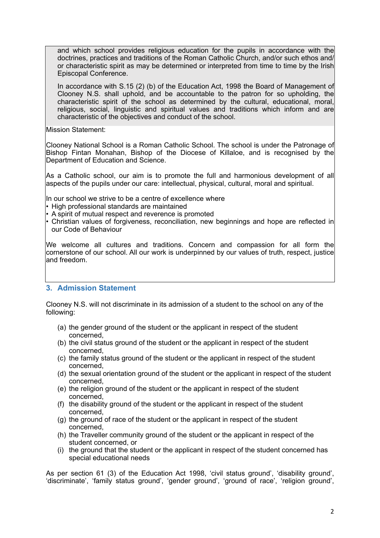and which school provides religious education for the pupils in accordance with the doctrines, practices and traditions of the Roman Catholic Church, and/or such ethos and/ or characteristic spirit as may be determined or interpreted from time to time by the Irish Episcopal Conference.

In accordance with S.15 (2) (b) of the Education Act, 1998 the Board of Management of Clooney N.S. shall uphold, and be accountable to the patron for so upholding, the characteristic spirit of the school as determined by the cultural, educational, moral, religious, social, linguistic and spiritual values and traditions which inform and are characteristic of the objectives and conduct of the school.

Mission Statement:

Clooney National School is a Roman Catholic School. The school is under the Patronage of Bishop Fintan Monahan, Bishop of the Diocese of Killaloe, and is recognised by the Department of Education and Science.

As a Catholic school, our aim is to promote the full and harmonious development of all aspects of the pupils under our care: intellectual, physical, cultural, moral and spiritual.

In our school we strive to be a centre of excellence where

- High professional standards are maintained
- A spirit of mutual respect and reverence is promoted
- Christian values of forgiveness, reconciliation, new beginnings and hope are reflected in our Code of Behaviour

We welcome all cultures and traditions. Concern and compassion for all form the cornerstone of our school. All our work is underpinned by our values of truth, respect, justice and freedom.

#### **3. Admission Statement**

Clooney N.S. will not discriminate in its admission of a student to the school on any of the following:

- (a) the gender ground of the student or the applicant in respect of the student concerned,
- (b) the civil status ground of the student or the applicant in respect of the student concerned,
- (c) the family status ground of the student or the applicant in respect of the student concerned,
- (d) the sexual orientation ground of the student or the applicant in respect of the student concerned,
- (e) the religion ground of the student or the applicant in respect of the student concerned,
- (f) the disability ground of the student or the applicant in respect of the student concerned,
- (g) the ground of race of the student or the applicant in respect of the student concerned,
- (h) the Traveller community ground of the student or the applicant in respect of the student concerned, or
- (i) the ground that the student or the applicant in respect of the student concerned has special educational needs

As per section 61 (3) of the Education Act 1998, 'civil status ground', 'disability ground', 'discriminate', 'family status ground', 'gender ground', 'ground of race', 'religion ground',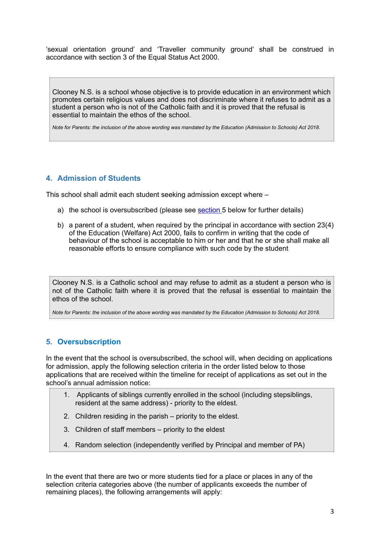'sexual orientation ground' and 'Traveller community ground' shall be construed in accordance with section 3 of the Equal Status Act 2000.

Clooney N.S. is a school whose objective is to provide education in an environment which promotes certain religious values and does not discriminate where it refuses to admit as a student a person who is not of the Catholic faith and it is proved that the refusal is essential to maintain the ethos of the school.

*Note for Parents: the inclusion of the above wording was mandated by the Education (Admission to Schools) Act 2018.*

#### **4. Admission of Students**

This school shall admit each student seeking admission except where –

- a) the school is oversubscribed (please see section 5 below for further details)
- b) a parent of a student, when required by the principal in accordance with section 23(4) of the Education (Welfare) Act 2000, fails to confirm in writing that the code of behaviour of the school is acceptable to him or her and that he or she shall make all reasonable efforts to ensure compliance with such code by the student

Clooney N.S. is a Catholic school and may refuse to admit as a student a person who is not of the Catholic faith where it is proved that the refusal is essential to maintain the ethos of the school.

*Note for Parents: the inclusion of the above wording was mandated by the Education (Admission to Schools) Act 2018.*

#### **5. Oversubscription**

In the event that the school is oversubscribed, the school will, when deciding on applications for admission, apply the following selection criteria in the order listed below to those applications that are received within the timeline for receipt of applications as set out in the school's annual admission notice:

- 1. Applicants of siblings currently enrolled in the school (including stepsiblings, resident at the same address) - priority to the eldest.
- 2. Children residing in the parish priority to the eldest.
- 3. Children of staff members priority to the eldest
- 4. Random selection (independently verified by Principal and member of PA)

In the event that there are two or more students tied for a place or places in any of the selection criteria categories above (the number of applicants exceeds the number of remaining places), the following arrangements will apply: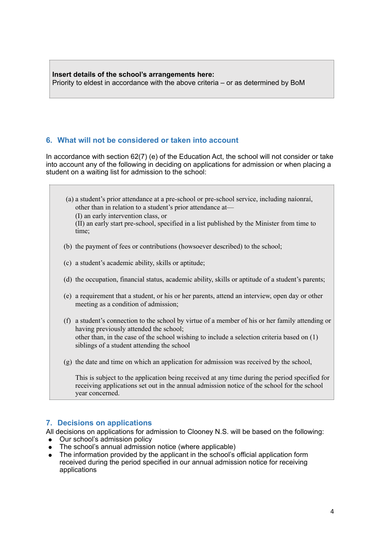**Insert details of the school's arrangements here:** Priority to eldest in accordance with the above criteria – or as determined by BoM

#### **6. What will not be considered or taken into account**

In accordance with section 62(7) (e) of the Education Act, the school will not consider or take into account any of the following in deciding on applications for admission or when placing a student on a waiting list for admission to the school:

(a) a student's prior attendance at a pre-school or pre-school service, including naíonraí, other than in relation to a student's prior attendance at— (I) an early intervention class, or (II) an early start pre-school, specified in a list published by the Minister from time to time;

- (b) the payment of fees or contributions (howsoever described) to the school;
- (c) a student's academic ability, skills or aptitude;
- (d) the occupation, financial status, academic ability, skills or aptitude of a student's parents;
- (e) a requirement that a student, or his or her parents, attend an interview, open day or other meeting as a condition of admission;
- (f) a student's connection to the school by virtue of a member of his or her family attending or having previously attended the school; other than, in the case of the school wishing to include a selection criteria based on (1) siblings of a student attending the school
- (g) the date and time on which an application for admission was received by the school,

This is subject to the application being received at any time during the period specified for receiving applications set out in the annual admission notice of the school for the school year concerned.

#### **7. Decisions on applications**

All decisions on applications for admission to Clooney N.S. will be based on the following:

- Our school's admission policy
- The school's annual admission notice (where applicable)
- The information provided by the applicant in the school's official application form received during the period specified in our annual admission notice for receiving applications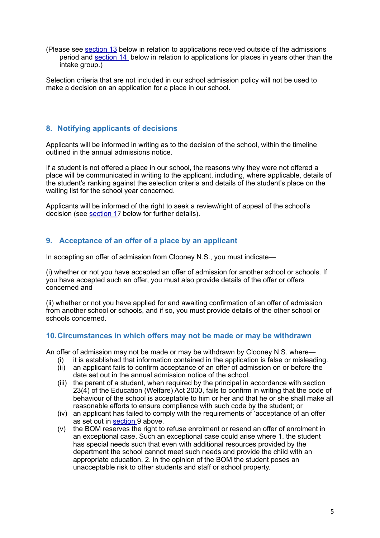(Please see section 13 below in relation to applications received outside of the admissions period and section 14 below in relation to applications for places in years other than the intake group.)

Selection criteria that are not included in our school admission policy will not be used to make a decision on an application for a place in our school.

#### **8. Notifying applicants of decisions**

Applicants will be informed in writing as to the decision of the school, within the timeline outlined in the annual admissions notice.

If a student is not offered a place in our school, the reasons why they were not offered a place will be communicated in writing to the applicant, including, where applicable, details of the student's ranking against the selection criteria and details of the student's place on the waiting list for the school year concerned.

Applicants will be informed of the right to seek a review/right of appeal of the school's decision (see section 17 below for further details).

#### **9. Acceptance of an offer of a place by an applicant**

In accepting an offer of admission from Clooney N.S., you must indicate—

(i) whether or not you have accepted an offer of admission for another school or schools. If you have accepted such an offer, you must also provide details of the offer or offers concerned and

(ii) whether or not you have applied for and awaiting confirmation of an offer of admission from another school or schools, and if so, you must provide details of the other school or schools concerned.

#### **10.Circumstances in which offers may not be made or may be withdrawn**

An offer of admission may not be made or may be withdrawn by Clooney N.S. where—

- (i) it is established that information contained in the application is false or misleading.
- (ii) an applicant fails to confirm acceptance of an offer of admission on or before the date set out in the annual admission notice of the school.
- (iii) the parent of a student, when required by the principal in accordance with section 23(4) of the Education (Welfare) Act 2000, fails to confirm in writing that the code of behaviour of the school is acceptable to him or her and that he or she shall make all reasonable efforts to ensure compliance with such code by the student; or
- (iv) an applicant has failed to comply with the requirements of 'acceptance of an offer' as set out in section 9 above.
- (v) the BOM reserves the right to refuse enrolment or resend an offer of enrolment in an exceptional case. Such an exceptional case could arise where 1. the student has special needs such that even with additional resources provided by the department the school cannot meet such needs and provide the child with an appropriate education. 2. in the opinion of the BOM the student poses an unacceptable risk to other students and staff or school property.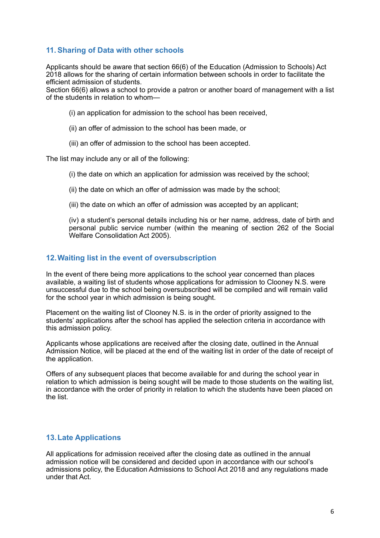#### **11.Sharing of Data with other schools**

Applicants should be aware that section 66(6) of the Education (Admission to Schools) Act 2018 allows for the sharing of certain information between schools in order to facilitate the efficient admission of students.

Section 66(6) allows a school to provide a patron or another board of management with a list of the students in relation to whom—

- (i) an application for admission to the school has been received,
- (ii) an offer of admission to the school has been made, or
- (iii) an offer of admission to the school has been accepted.

The list may include any or all of the following:

- (i) the date on which an application for admission was received by the school;
- (ii) the date on which an offer of admission was made by the school;
- (iii) the date on which an offer of admission was accepted by an applicant;

(iv) a student's personal details including his or her name, address, date of birth and personal public service number (within the meaning of section 262 of the Social Welfare Consolidation Act 2005).

#### **12.Waiting list in the event of oversubscription**

In the event of there being more applications to the school year concerned than places available, a waiting list of students whose applications for admission to Clooney N.S. were unsuccessful due to the school being oversubscribed will be compiled and will remain valid for the school year in which admission is being sought.

Placement on the waiting list of Clooney N.S. is in the order of priority assigned to the students' applications after the school has applied the selection criteria in accordance with this admission policy.

Applicants whose applications are received after the closing date, outlined in the Annual Admission Notice, will be placed at the end of the waiting list in order of the date of receipt of the application.

Offers of any subsequent places that become available for and during the school year in relation to which admission is being sought will be made to those students on the waiting list, in accordance with the order of priority in relation to which the students have been placed on the list.

#### **13.Late Applications**

All applications for admission received after the closing date as outlined in the annual admission notice will be considered and decided upon in accordance with our school's admissions policy, the Education Admissions to School Act 2018 and any regulations made under that Act.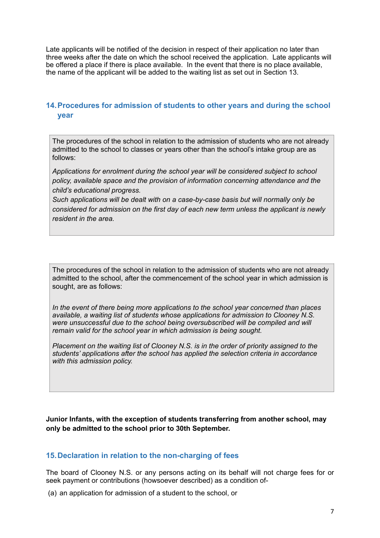Late applicants will be notified of the decision in respect of their application no later than three weeks after the date on which the school received the application. Late applicants will be offered a place if there is place available. In the event that there is no place available, the name of the applicant will be added to the waiting list as set out in Section 13.

#### **14.Procedures for admission of students to other years and during the school year**

The procedures of the school in relation to the admission of students who are not already admitted to the school to classes or years other than the school's intake group are as follows:

*Applications for enrolment during the school year will be considered subject to school policy, available space and the provision of information concerning attendance and the child's educational progress.*

*Such applications will be dealt with on a case-by-case basis but will normally only be considered for admission on the first day of each new term unless the applicant is newly resident in the area.*

The procedures of the school in relation to the admission of students who are not already admitted to the school, after the commencement of the school year in which admission is sought, are as follows:

*In the event of there being more applications to the school year concerned than places available, a waiting list of students whose applications for admission to Clooney N.S.*  were unsuccessful due to the school being oversubscribed will be compiled and will *remain valid for the school year in which admission is being sought.*

*Placement on the waiting list of Clooney N.S. is in the order of priority assigned to the students' applications after the school has applied the selection criteria in accordance with this admission policy.* 

**Junior Infants, with the exception of students transferring from another school, may only be admitted to the school prior to 30th September.**

#### **15.Declaration in relation to the non-charging of fees**

The board of Clooney N.S. or any persons acting on its behalf will not charge fees for or seek payment or contributions (howsoever described) as a condition of-

(a) an application for admission of a student to the school, or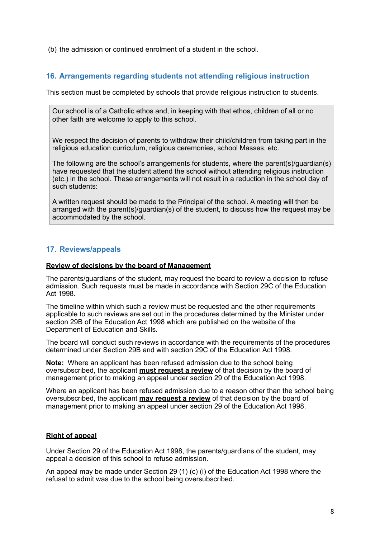(b) the admission or continued enrolment of a student in the school.

#### **16. Arrangements regarding students not attending religious instruction**

This section must be completed by schools that provide religious instruction to students.

Our school is of a Catholic ethos and, in keeping with that ethos, children of all or no other faith are welcome to apply to this school.

We respect the decision of parents to withdraw their child/children from taking part in the religious education curriculum, religious ceremonies, school Masses, etc.

The following are the school's arrangements for students, where the parent(s)/guardian(s) have requested that the student attend the school without attending religious instruction (etc.) in the school. These arrangements will not result in a reduction in the school day of such students:

A written request should be made to the Principal of the school. A meeting will then be arranged with the parent(s)/guardian(s) of the student, to discuss how the request may be accommodated by the school.

#### **17. Reviews/appeals**

#### **Review of decisions by the board of Management**

The parents/guardians of the student, may request the board to review a decision to refuse admission. Such requests must be made in accordance with Section 29C of the Education Act 1998.

The timeline within which such a review must be requested and the other requirements applicable to such reviews are set out in the procedures determined by the Minister under section 29B of the Education Act 1998 which are published on the website of the Department of Education and Skills.

The board will conduct such reviews in accordance with the requirements of the procedures determined under Section 29B and with section 29C of the Education Act 1998.

**Note:** Where an applicant has been refused admission due to the school being oversubscribed, the applicant **must request a review** of that decision by the board of management prior to making an appeal under section 29 of the Education Act 1998.

Where an applicant has been refused admission due to a reason other than the school being oversubscribed, the applicant **may request a review** of that decision by the board of management prior to making an appeal under section 29 of the Education Act 1998.

#### **Right of appeal**

Under Section 29 of the Education Act 1998, the parents/guardians of the student, may appeal a decision of this school to refuse admission.

An appeal may be made under Section 29 (1) (c) (i) of the Education Act 1998 where the refusal to admit was due to the school being oversubscribed.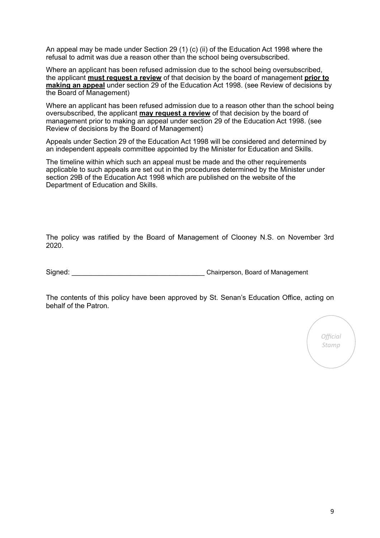An appeal may be made under Section 29 (1) (c) (ii) of the Education Act 1998 where the refusal to admit was due a reason other than the school being oversubscribed.

Where an applicant has been refused admission due to the school being oversubscribed, the applicant **must request a review** of that decision by the board of management **prior to making an appeal** under section 29 of the Education Act 1998. (see Review of decisions by the Board of Management)

Where an applicant has been refused admission due to a reason other than the school being oversubscribed, the applicant **may request a review** of that decision by the board of management prior to making an appeal under section 29 of the Education Act 1998. (see Review of decisions by the Board of Management)

Appeals under Section 29 of the Education Act 1998 will be considered and determined by an independent appeals committee appointed by the Minister for Education and Skills.

The timeline within which such an appeal must be made and the other requirements applicable to such appeals are set out in the procedures determined by the Minister under section 29B of the Education Act 1998 which are published on the website of the Department of Education and Skills.

The policy was ratified by the Board of Management of Clooney N.S. on November 3rd 2020.

Signed: \_\_\_\_\_\_\_\_\_\_\_\_\_\_\_\_\_\_\_\_\_\_\_\_\_\_\_\_\_\_\_\_\_\_ Chairperson, Board of Management

The contents of this policy have been approved by St. Senan's Education Office, acting on behalf of the Patron.

*Official Stamp*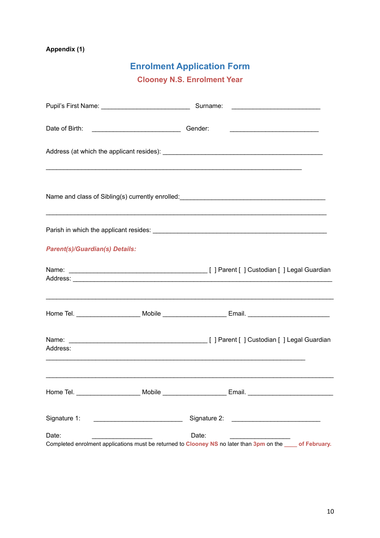#### **Appendix (1)**

### **Enrolment Application Form**

**Clooney N.S. Enrolment Year** 

|                                       | Surname: |                                                                                                                        |
|---------------------------------------|----------|------------------------------------------------------------------------------------------------------------------------|
|                                       | Gender:  | <u> 1989 - Johann John Stein, market fan it ferskearre fan it ferskearre fan it ferskearre fan it ferskearre fan i</u> |
|                                       |          |                                                                                                                        |
|                                       |          |                                                                                                                        |
|                                       |          |                                                                                                                        |
| <b>Parent(s)/Guardian(s) Details:</b> |          |                                                                                                                        |
|                                       |          |                                                                                                                        |
|                                       |          |                                                                                                                        |
| Address:                              |          |                                                                                                                        |
|                                       |          |                                                                                                                        |
|                                       |          |                                                                                                                        |
| Date:                                 | Date:    | Completed enrolment applications must be returned to Clooney NS no later than 3pm on the same of February.             |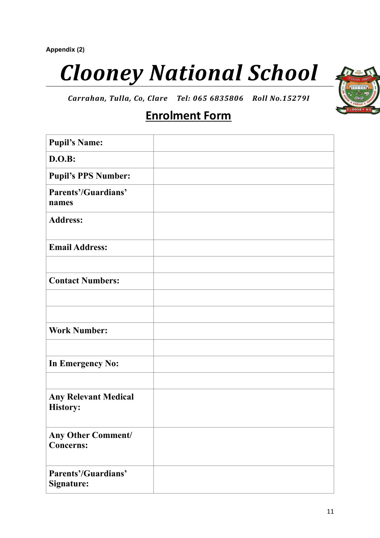# *Clooney National School*



*Carrahan, Tulla, Co, Clare Tel: 065 6835806 Roll No.15279I*

## **Enrolment Form**

| <b>Pupil's Name:</b>                           |  |
|------------------------------------------------|--|
| <b>D.O.B:</b>                                  |  |
| <b>Pupil's PPS Number:</b>                     |  |
| <b>Parents'/Guardians'</b><br>names            |  |
| <b>Address:</b>                                |  |
| <b>Email Address:</b>                          |  |
|                                                |  |
| <b>Contact Numbers:</b>                        |  |
|                                                |  |
|                                                |  |
| <b>Work Number:</b>                            |  |
|                                                |  |
| <b>In Emergency No:</b>                        |  |
|                                                |  |
| <b>Any Relevant Medical</b><br><b>History:</b> |  |
| <b>Any Other Comment/</b><br><b>Concerns:</b>  |  |
| Parents'/Guardians'<br>Signature:              |  |